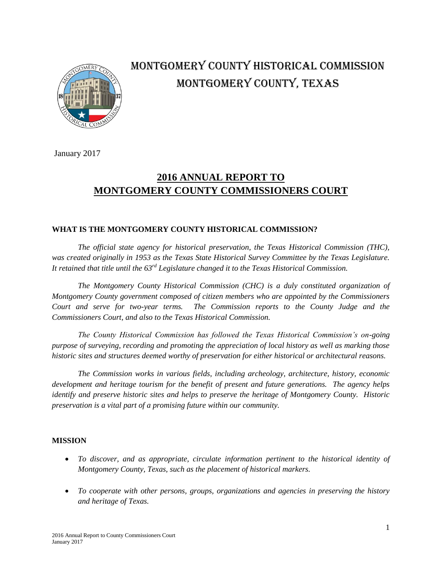

# MONTGOMERY COUNTY HISTORICAL COMMISSION MONTGOMERY COUNTY, TEXAS

January 2017

## **2016 ANNUAL REPORT TO MONTGOMERY COUNTY COMMISSIONERS COURT**

#### **WHAT IS THE MONTGOMERY COUNTY HISTORICAL COMMISSION?**

*The official state agency for historical preservation, the Texas Historical Commission (THC), was created originally in 1953 as the Texas State Historical Survey Committee by the Texas Legislature. It retained that title until the 63rd Legislature changed it to the Texas Historical Commission.*

*The Montgomery County Historical Commission (CHC) is a duly constituted organization of Montgomery County government composed of citizen members who are appointed by the Commissioners Court and serve for two-year terms. The Commission reports to the County Judge and the Commissioners Court, and also to the Texas Historical Commission.* 

*The County Historical Commission has followed the Texas Historical Commission's on-going purpose of surveying, recording and promoting the appreciation of local history as well as marking those historic sites and structures deemed worthy of preservation for either historical or architectural reasons.*

*The Commission works in various fields, including archeology, architecture, history, economic development and heritage tourism for the benefit of present and future generations. The agency helps identify and preserve historic sites and helps to preserve the heritage of Montgomery County. Historic preservation is a vital part of a promising future within our community.*

#### **MISSION**

- *To discover, and as appropriate, circulate information pertinent to the historical identity of Montgomery County, Texas, such as the placement of historical markers.*
- *To cooperate with other persons, groups, organizations and agencies in preserving the history and heritage of Texas.*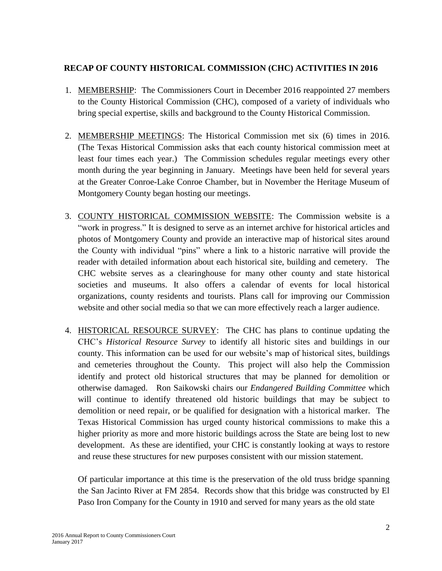### **RECAP OF COUNTY HISTORICAL COMMISSION (CHC) ACTIVITIES IN 2016**

- 1. MEMBERSHIP: The Commissioners Court in December 2016 reappointed 27 members to the County Historical Commission (CHC), composed of a variety of individuals who bring special expertise, skills and background to the County Historical Commission.
- 2. MEMBERSHIP MEETINGS: The Historical Commission met six (6) times in 2016. (The Texas Historical Commission asks that each county historical commission meet at least four times each year.) The Commission schedules regular meetings every other month during the year beginning in January. Meetings have been held for several years at the Greater Conroe-Lake Conroe Chamber, but in November the Heritage Museum of Montgomery County began hosting our meetings.
- 3. COUNTY HISTORICAL COMMISSION WEBSITE: The Commission website is a "work in progress." It is designed to serve as an internet archive for historical articles and photos of Montgomery County and provide an interactive map of historical sites around the County with individual "pins" where a link to a historic narrative will provide the reader with detailed information about each historical site, building and cemetery. The CHC website serves as a clearinghouse for many other county and state historical societies and museums. It also offers a calendar of events for local historical organizations, county residents and tourists. Plans call for improving our Commission website and other social media so that we can more effectively reach a larger audience.
- 4. HISTORICAL RESOURCE SURVEY: The CHC has plans to continue updating the CHC's *Historical Resource Survey* to identify all historic sites and buildings in our county. This information can be used for our website's map of historical sites, buildings and cemeteries throughout the County. This project will also help the Commission identify and protect old historical structures that may be planned for demolition or otherwise damaged. Ron Saikowski chairs our *Endangered Building Committee* which will continue to identify threatened old historic buildings that may be subject to demolition or need repair, or be qualified for designation with a historical marker. The Texas Historical Commission has urged county historical commissions to make this a higher priority as more and more historic buildings across the State are being lost to new development. As these are identified, your CHC is constantly looking at ways to restore and reuse these structures for new purposes consistent with our mission statement.

Of particular importance at this time is the preservation of the old truss bridge spanning the San Jacinto River at FM 2854. Records show that this bridge was constructed by El Paso Iron Company for the County in 1910 and served for many years as the old state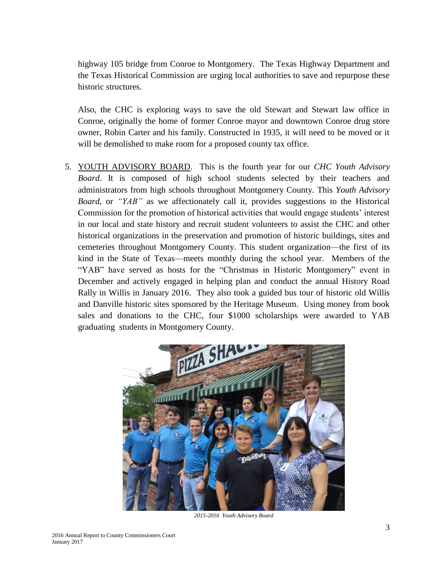highway 105 bridge from Conroe to Montgomery. The Texas Highway Department and the Texas Historical Commission are urging local authorities to save and repurpose these historic structures.

Also, the CHC is exploring ways to save the old Stewart and Stewart law office in Conroe, originally the home of former Conroe mayor and downtown Conroe drug store owner, Robin Carter and his family. Constructed in 1935, it will need to be moved or it will be demolished to make room for a proposed county tax office.

5. YOUTH ADVISORY BOARD. This is the fourth year for our *CHC Youth Advisory Board*. It is composed of high school students selected by their teachers and administrators from high schools throughout Montgomery County. This *Youth Advisory Board,* or *"YAB"* as we affectionately call it, provides suggestions to the Historical Commission for the promotion of historical activities that would engage students' interest in our local and state history and recruit student volunteers to assist the CHC and other historical organizations in the preservation and promotion of historic buildings, sites and cemeteries throughout Montgomery County. This student organization—the first of its kind in the State of Texas—meets monthly during the school year. Members of the "YAB" have served as hosts for the "Christmas in Historic Montgomery" event in December and actively engaged in helping plan and conduct the annual History Road Rally in Willis in January 2016. They also took a guided bus tour of historic old Willis and Danville historic sites sponsored by the Heritage Museum. Using money from book sales and donations to the CHC, four \$1000 scholarships were awarded to YAB graduating students in Montgomery County.



*2015-2016 Youth Advisory Board*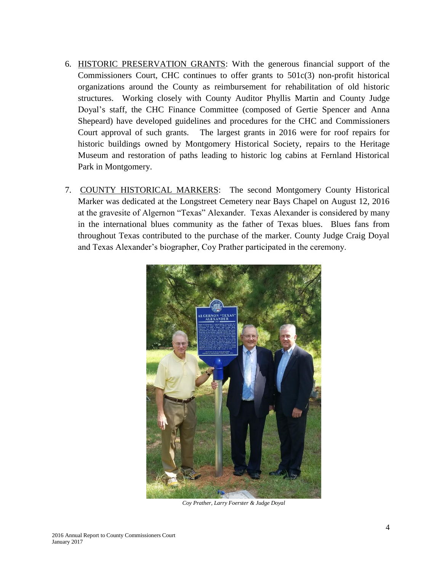- 6. HISTORIC PRESERVATION GRANTS: With the generous financial support of the Commissioners Court, CHC continues to offer grants to 501c(3) non-profit historical organizations around the County as reimbursement for rehabilitation of old historic structures. Working closely with County Auditor Phyllis Martin and County Judge Doyal's staff, the CHC Finance Committee (composed of Gertie Spencer and Anna Shepeard) have developed guidelines and procedures for the CHC and Commissioners Court approval of such grants. The largest grants in 2016 were for roof repairs for historic buildings owned by Montgomery Historical Society, repairs to the Heritage Museum and restoration of paths leading to historic log cabins at Fernland Historical Park in Montgomery.
- 7. COUNTY HISTORICAL MARKERS: The second Montgomery County Historical Marker was dedicated at the Longstreet Cemetery near Bays Chapel on August 12, 2016 at the gravesite of Algernon "Texas" Alexander. Texas Alexander is considered by many in the international blues community as the father of Texas blues. Blues fans from throughout Texas contributed to the purchase of the marker. County Judge Craig Doyal and Texas Alexander's biographer, Coy Prather participated in the ceremony.



*Coy Prather, Larry Foerster & Judge Doyal*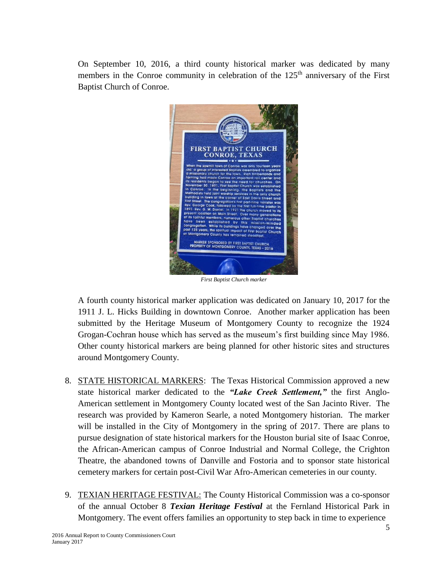On September 10, 2016, a third county historical marker was dedicated by many members in the Conroe community in celebration of the  $125<sup>th</sup>$  anniversary of the First Baptist Church of Conroe.



*First Baptist Church marker*

A fourth county historical marker application was dedicated on January 10, 2017 for the 1911 J. L. Hicks Building in downtown Conroe. Another marker application has been submitted by the Heritage Museum of Montgomery County to recognize the 1924 Grogan-Cochran house which has served as the museum's first building since May 1986. Other county historical markers are being planned for other historic sites and structures around Montgomery County.

- 8. STATE HISTORICAL MARKERS: The Texas Historical Commission approved a new state historical marker dedicated to the *"Lake Creek Settlement,"* the first Anglo-American settlement in Montgomery County located west of the San Jacinto River. The research was provided by Kameron Searle, a noted Montgomery historian. The marker will be installed in the City of Montgomery in the spring of 2017. There are plans to pursue designation of state historical markers for the Houston burial site of Isaac Conroe, the African-American campus of Conroe Industrial and Normal College, the Crighton Theatre, the abandoned towns of Danville and Fostoria and to sponsor state historical cemetery markers for certain post-Civil War Afro-American cemeteries in our county.
- 9. TEXIAN HERITAGE FESTIVAL: The County Historical Commission was a co-sponsor of the annual October 8 *Texian Heritage Festival* at the Fernland Historical Park in Montgomery. The event offers families an opportunity to step back in time to experience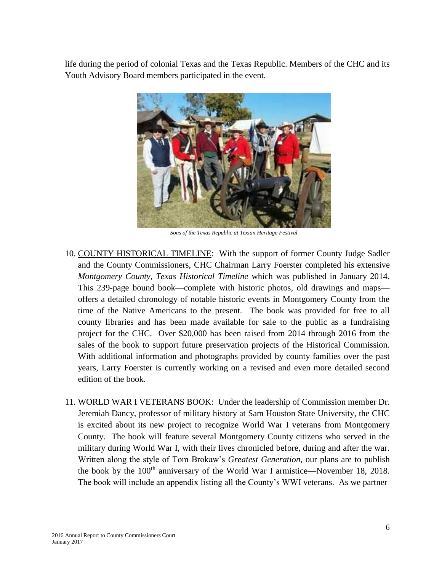life during the period of colonial Texas and the Texas Republic. Members of the CHC and its Youth Advisory Board members participated in the event.



*Sons of the Texas Republic at Texian Heritage Festival*

- 10. COUNTY HISTORICAL TIMELINE: With the support of former County Judge Sadler and the County Commissioners, CHC Chairman Larry Foerster completed his extensive *Montgomery County, Texas Historical Timeline* which was published in January 2014*.* This 239-page bound book—complete with historic photos, old drawings and maps offers a detailed chronology of notable historic events in Montgomery County from the time of the Native Americans to the present. The book was provided for free to all county libraries and has been made available for sale to the public as a fundraising project for the CHC. Over \$20,000 has been raised from 2014 through 2016 from the sales of the book to support future preservation projects of the Historical Commission. With additional information and photographs provided by county families over the past years, Larry Foerster is currently working on a revised and even more detailed second edition of the book.
- 11. WORLD WAR I VETERANS BOOK: Under the leadership of Commission member Dr. Jeremiah Dancy, professor of military history at Sam Houston State University, the CHC is excited about its new project to recognize World War I veterans from Montgomery County. The book will feature several Montgomery County citizens who served in the military during World War I, with their lives chronicled before, during and after the war. Written along the style of Tom Brokaw's *Greatest Generation,* our plans are to publish the book by the  $100<sup>th</sup>$  anniversary of the World War I armistice—November 18, 2018. The book will include an appendix listing all the County's WWI veterans. As we partner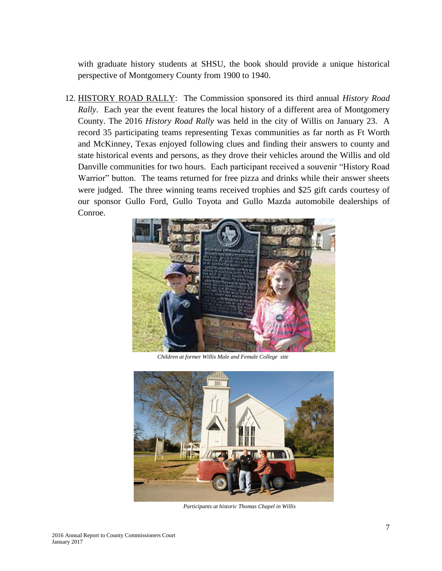with graduate history students at SHSU, the book should provide a unique historical perspective of Montgomery County from 1900 to 1940.

12. HISTORY ROAD RALLY: The Commission sponsored its third annual *History Road Rally*. Each year the event features the local history of a different area of Montgomery County. The 2016 *History Road Rally* was held in the city of Willis on January 23. A record 35 participating teams representing Texas communities as far north as Ft Worth and McKinney, Texas enjoyed following clues and finding their answers to county and state historical events and persons, as they drove their vehicles around the Willis and old Danville communities for two hours. Each participant received a souvenir "History Road Warrior" button. The teams returned for free pizza and drinks while their answer sheets were judged. The three winning teams received trophies and \$25 gift cards courtesy of our sponsor Gullo Ford, Gullo Toyota and Gullo Mazda automobile dealerships of Conroe.



 *Children at former Willis Male and Female College site* 



 *Participants at historic Thomas Chapel in Willis*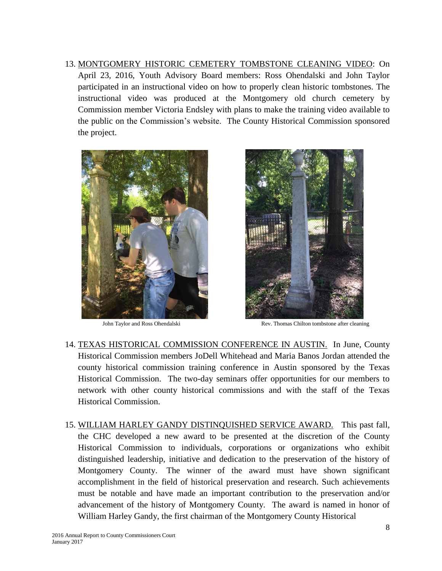13. MONTGOMERY HISTORIC CEMETERY TOMBSTONE CLEANING VIDEO: On April 23, 2016, Youth Advisory Board members: Ross Ohendalski and John Taylor participated in an instructional video on how to properly clean historic tombstones. The instructional video was produced at the Montgomery old church cemetery by Commission member Victoria Endsley with plans to make the training video available to the public on the Commission's website. The County Historical Commission sponsored the project.





John Taylor and Ross Ohendalski Rev. Thomas Chilton tombstone after cleaning

- 14. TEXAS HISTORICAL COMMISSION CONFERENCE IN AUSTIN. In June, County Historical Commission members JoDell Whitehead and Maria Banos Jordan attended the county historical commission training conference in Austin sponsored by the Texas Historical Commission. The two-day seminars offer opportunities for our members to network with other county historical commissions and with the staff of the Texas Historical Commission.
- 15. WILLIAM HARLEY GANDY DISTINQUISHED SERVICE AWARD. This past fall, the CHC developed a new award to be presented at the discretion of the County Historical Commission to individuals, corporations or organizations who exhibit distinguished leadership, initiative and dedication to the preservation of the history of Montgomery County. The winner of the award must have shown significant accomplishment in the field of historical preservation and research. Such achievements must be notable and have made an important contribution to the preservation and/or advancement of the history of Montgomery County. The award is named in honor of William Harley Gandy, the first chairman of the Montgomery County Historical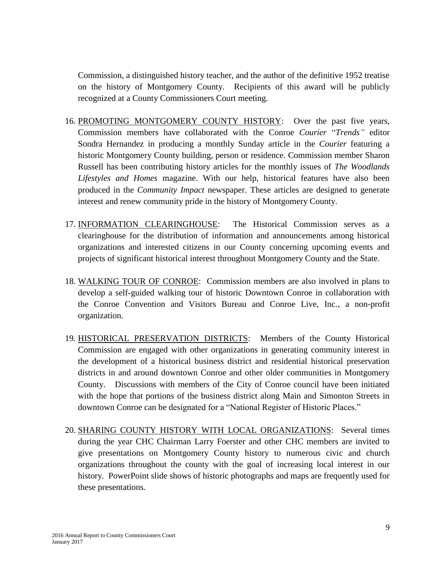Commission, a distinguished history teacher, and the author of the definitive 1952 treatise on the history of Montgomery County. Recipients of this award will be publicly recognized at a County Commissioners Court meeting.

- 16. PROMOTING MONTGOMERY COUNTY HISTORY: Over the past five years, Commission members have collaborated with the Conroe *Courier* "*Trends"* editor Sondra Hernandez in producing a monthly Sunday article in the *Courier* featuring a historic Montgomery County building, person or residence. Commission member Sharon Russell has been contributing history articles for the monthly issues of *The Woodlands Lifestyles and Homes* magazine. With our help, historical features have also been produced in the *Community Impact* newspaper. These articles are designed to generate interest and renew community pride in the history of Montgomery County.
- 17. INFORMATION CLEARINGHOUSE: The Historical Commission serves as a clearinghouse for the distribution of information and announcements among historical organizations and interested citizens in our County concerning upcoming events and projects of significant historical interest throughout Montgomery County and the State.
- 18. WALKING TOUR OF CONROE: Commission members are also involved in plans to develop a self-guided walking tour of historic Downtown Conroe in collaboration with the Conroe Convention and Visitors Bureau and Conroe Live, Inc., a non-profit organization.
- 19. HISTORICAL PRESERVATION DISTRICTS: Members of the County Historical Commission are engaged with other organizations in generating community interest in the development of a historical business district and residential historical preservation districts in and around downtown Conroe and other older communities in Montgomery County. Discussions with members of the City of Conroe council have been initiated with the hope that portions of the business district along Main and Simonton Streets in downtown Conroe can be designated for a "National Register of Historic Places."
- 20. SHARING COUNTY HISTORY WITH LOCAL ORGANIZATIONS: Several times during the year CHC Chairman Larry Foerster and other CHC members are invited to give presentations on Montgomery County history to numerous civic and church organizations throughout the county with the goal of increasing local interest in our history. PowerPoint slide shows of historic photographs and maps are frequently used for these presentations.